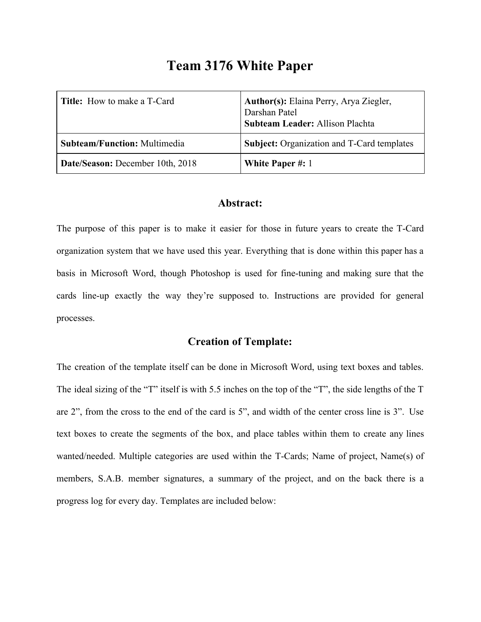# **Team 3176 White Paper**

| <b>Title:</b> How to make a T-Card  | Author(s): Elaina Perry, Arya Ziegler,<br>Darshan Patel<br><b>Subteam Leader: Allison Plachta</b> |
|-------------------------------------|---------------------------------------------------------------------------------------------------|
| <b>Subteam/Function: Multimedia</b> | Subject: Organization and T-Card templates                                                        |
| Date/Season: December 10th, 2018    | <b>White Paper #: 1</b>                                                                           |

#### **Abstract:**

The purpose of this paper is to make it easier for those in future years to create the T-Card organization system that we have used this year. Everything that is done within this paper has a basis in Microsoft Word, though Photoshop is used for fine-tuning and making sure that the cards line-up exactly the way they're supposed to. Instructions are provided for general processes.

## **Creation of Template:**

The creation of the template itself can be done in Microsoft Word, using text boxes and tables. The ideal sizing of the "T" itself is with 5.5 inches on the top of the "T", the side lengths of the T are 2", from the cross to the end of the card is 5", and width of the center cross line is 3". Use text boxes to create the segments of the box, and place tables within them to create any lines wanted/needed. Multiple categories are used within the T-Cards; Name of project, Name(s) of members, S.A.B. member signatures, a summary of the project, and on the back there is a progress log for every day. Templates are included below: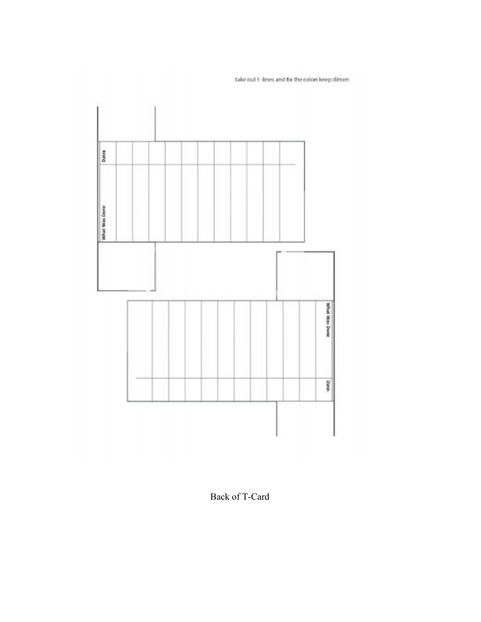

take out t-lines and fix the colon keep dimen

Back of T-Card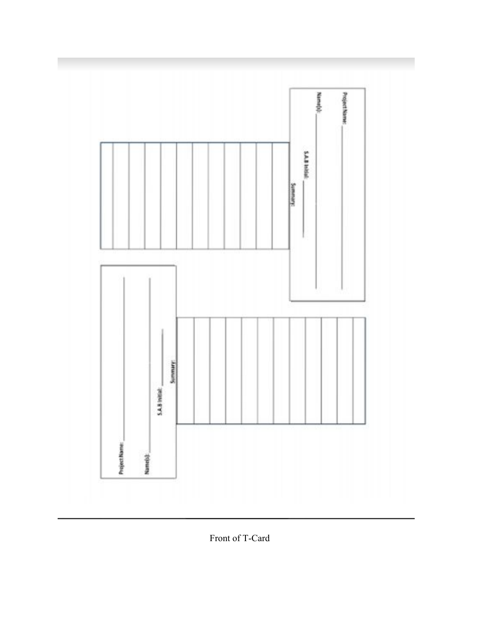

Front of T-Card